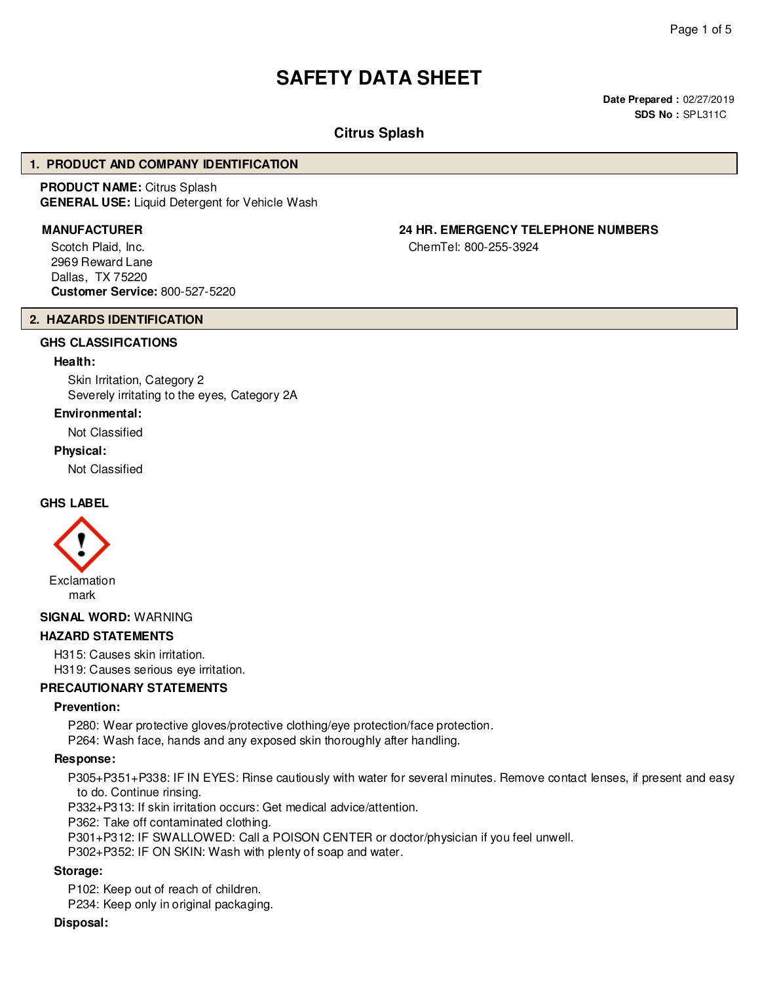# **SAFETY DATA SHEET**

**Date Prepared :** 02/27/2019 **SDS No :** SPL311C

## **Citrus Splash**

#### **1. PRODUCT AND COMPANY IDENTIFICATION**

**PRODUCT NAME:** Citrus Splash **GENERAL USE:** Liquid Detergent for Vehicle Wash

Scotch Plaid, Inc. 2969 Reward Lane Dallas, TX 75220 **Customer Service:** 800-527-5220

# **MANUFACTURER 24 HR. EMERGENCY TELEPHONE NUMBERS**

ChemTel: 800-255-3924

#### **2. HAZARDS IDENTIFICATION**

#### **GHS CLASSIFICATIONS**

#### **Health:**

Skin Irritation, Category 2 Severely irritating to the eyes, Category 2A

#### **Environmental:**

Not Classified

#### **Physical:**

Not Classified

## **GHS LABEL**



#### **SIGNAL WORD:** WARNING

#### **HAZARD STATEMENTS**

H315: Causes skin irritation. H319: Causes serious eye irritation.

### **PRECAUTIONARY STATEMENTS**

#### **Prevention:**

P280: Wear protective gloves/protective clothing/eye protection/face protection.

P264: Wash face, hands and any exposed skin thoroughly after handling.

#### **Response:**

P305+P351+P338: IF IN EYES: Rinse cautiously with water for several minutes. Remove contact lenses, if present and easy to do. Continue rinsing.

P332+P313: If skin irritation occurs: Get medical advice/attention.

P362: Take off contaminated clothing.

P301+P312: IF SWALLOWED: Call a POISON CENTER or doctor/physician if you feel unwell.

P302+P352: IF ON SKIN: Wash with plenty of soap and water.

#### **Storage:**

P102: Keep out of reach of children.

P234: Keep only in original packaging.

#### **Disposal:**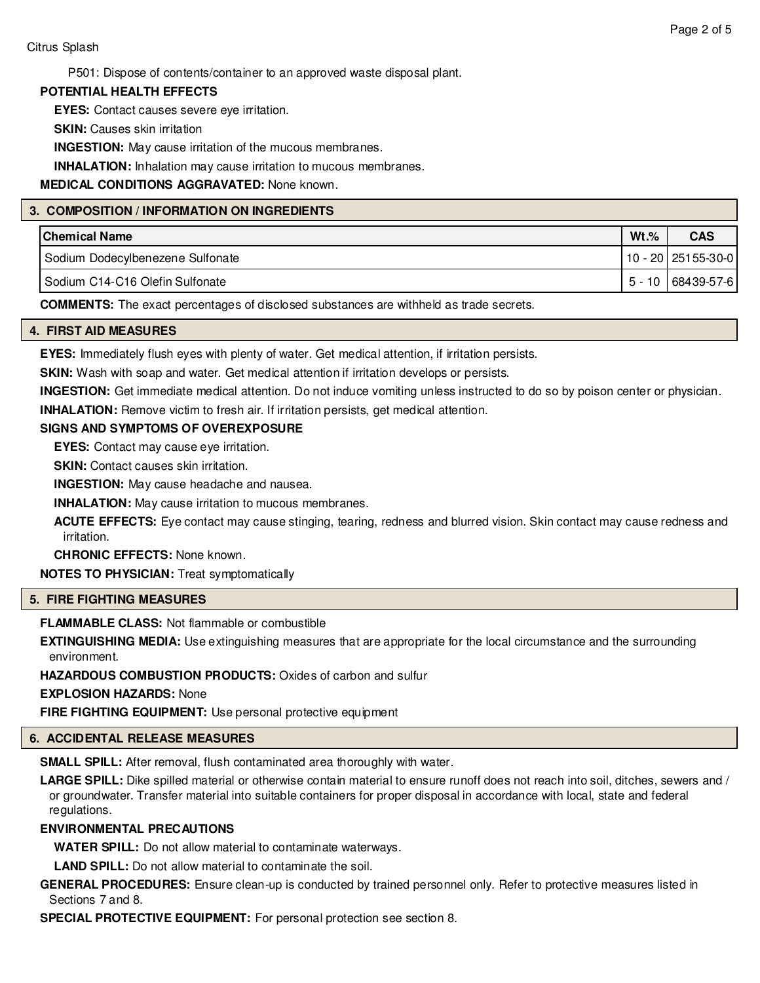P501: Dispose of contents/container to an approved waste disposal plant.

#### **POTENTIAL HEALTH EFFECTS**

**EYES:** Contact causes severe eye irritation.

**SKIN: Causes skin irritation** 

**INGESTION:** May cause irritation of the mucous membranes.

**INHALATION:** Inhalation may cause irritation to mucous membranes.

**MEDICAL CONDITIONS AGGRAVATED:** None known.

#### **3. COMPOSITION / INFORMATION ON INGREDIENTS**

| <b>Chemical Name</b>              | $Wt.\%$ | <b>CAS</b>             |
|-----------------------------------|---------|------------------------|
| Sodium Dodecylbenezene Sulfonate  |         | $10 - 20$   25155-30-0 |
| I Sodium C14-C16 Olefin Sulfonate |         | 5 - 10   68439-57-6    |

**COMMENTS:** The exact percentages of disclosed substances are withheld as trade secrets.

#### **4. FIRST AID MEASURES**

**EYES:** Immediately flush eyes with plenty of water. Get medical attention, if irritation persists.

**SKIN:** Wash with soap and water. Get medical attention if irritation develops or persists.

**INGESTION:** Get immediate medical attention. Do not induce vomiting unless instructed to do so by poison center or physician.

**INHALATION:** Remove victim to fresh air. If irritation persists, get medical attention.

#### **SIGNS AND SYMPTOMS OF OVEREXPOSURE**

**EYES:** Contact may cause eye irritation.

**SKIN:** Contact causes skin irritation.

**INGESTION:** May cause headache and nausea.

**INHALATION:** May cause irritation to mucous membranes.

**ACUTE EFFECTS:** Eye contact may cause stinging, tearing, redness and blurred vision. Skin contact may cause redness and irritation.

**CHRONIC EFFECTS:** None known.

**NOTES TO PHYSICIAN:** Treat symptomatically

### **5. FIRE FIGHTING MEASURES**

**FLAMMABLE CLASS:** Not flammable or combustible

**EXTINGUISHING MEDIA:** Use extinguishing measures that are appropriate for the local circumstance and the surrounding environment.

**HAZARDOUS COMBUSTION PRODUCTS:** Oxides of carbon and sulfur

**EXPLOSION HAZARDS:** None

**FIRE FIGHTING EQUIPMENT:** Use personal protective equipment

# **6. ACCIDENTAL RELEASE MEASURES**

**SMALL SPILL:** After removal, flush contaminated area thoroughly with water.

**LARGE SPILL:** Dike spilled material or otherwise contain material to ensure runoff does not reach into soil, ditches, sewers and / or groundwater. Transfer material into suitable containers for proper disposal in accordance with local, state and federal regulations.

# **ENVIRONMENTAL PRECAUTIONS**

**WATER SPILL:** Do not allow material to contaminate waterways.

**LAND SPILL:** Do not allow material to contaminate the soil.

**GENERAL PROCEDURES:** Ensure clean-up is conducted by trained personnel only. Refer to protective measures listed in Sections 7 and 8.

**SPECIAL PROTECTIVE EQUIPMENT:** For personal protection see section 8.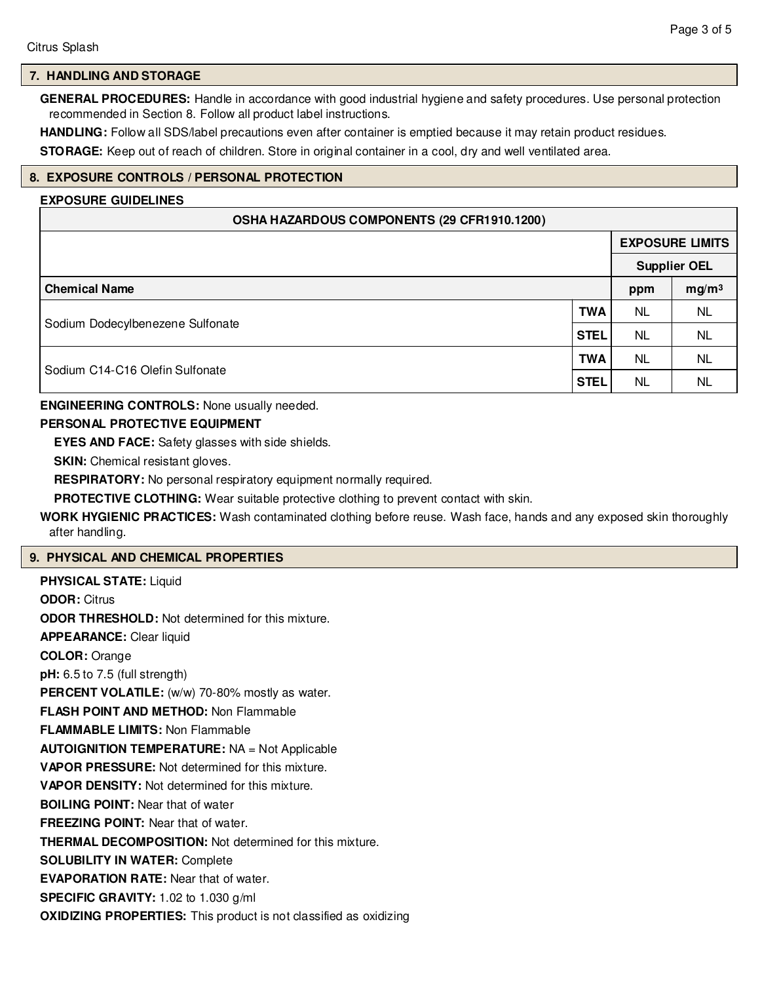### **7. HANDLING AND STORAGE**

**GENERAL PROCEDURES:** Handle in accordance with good industrial hygiene and safety procedures. Use personal protection recommended in Section 8. Follow all product label instructions.

**HANDLING:** Follow all SDS/label precautions even after container is emptied because it may retain product residues.

**STORAGE:** Keep out of reach of children. Store in original container in a cool, dry and well ventilated area.

#### **8. EXPOSURE CONTROLS / PERSONAL PROTECTION**

# **EXPOSURE GUIDELINES**

| OSHA HAZARDOUS COMPONENTS (29 CFR1910.1200) |             |                        |                   |  |
|---------------------------------------------|-------------|------------------------|-------------------|--|
|                                             |             | <b>EXPOSURE LIMITS</b> |                   |  |
|                                             |             | <b>Supplier OEL</b>    |                   |  |
| <b>Chemical Name</b>                        |             | ppm                    | mg/m <sup>3</sup> |  |
| Sodium Dodecylbenezene Sulfonate            | <b>TWA</b>  | <b>NL</b>              | NL.               |  |
|                                             | <b>STEL</b> | <b>NL</b>              | <b>NL</b>         |  |
| Sodium C14-C16 Olefin Sulfonate             | <b>TWA</b>  | <b>NL</b>              | NL                |  |
|                                             | <b>STEL</b> | <b>NL</b>              | NL                |  |

#### **ENGINEERING CONTROLS:** None usually needed.

### **PERSONAL PROTECTIVE EQUIPMENT**

**EYES AND FACE:** Safety glasses with side shields.

**SKIN:** Chemical resistant gloves.

**RESPIRATORY:** No personal respiratory equipment normally required.

**PROTECTIVE CLOTHING:** Wear suitable protective clothing to prevent contact with skin.

**WORK HYGIENIC PRACTICES:** Wash contaminated clothing before reuse. Wash face, hands and any exposed skin thoroughly after handling.

#### **9. PHYSICAL AND CHEMICAL PROPERTIES**

| <b>PHYSICAL STATE: Liquid</b>                                            |
|--------------------------------------------------------------------------|
| <b>ODOR: Citrus</b>                                                      |
| <b>ODOR THRESHOLD:</b> Not determined for this mixture.                  |
| <b>APPEARANCE:</b> Clear liquid                                          |
| <b>COLOR: Orange</b>                                                     |
| $pH: 6.5$ to 7.5 (full strength)                                         |
| PERCENT VOLATILE: (w/w) 70-80% mostly as water.                          |
| <b>FLASH POINT AND METHOD: Non Flammable</b>                             |
| <b>FLAMMABLE LIMITS: Non Flammable</b>                                   |
| <b>AUTOIGNITION TEMPERATURE: NA = Not Applicable</b>                     |
| <b>VAPOR PRESSURE:</b> Not determined for this mixture.                  |
| <b>VAPOR DENSITY:</b> Not determined for this mixture.                   |
| <b>BOILING POINT:</b> Near that of water                                 |
| <b>FREEZING POINT:</b> Near that of water.                               |
| <b>THERMAL DECOMPOSITION:</b> Not determined for this mixture.           |
| <b>SOLUBILITY IN WATER: Complete</b>                                     |
| <b>EVAPORATION RATE:</b> Near that of water.                             |
| SPECIFIC GRAVITY: 1.02 to 1.030 g/ml                                     |
| <b>OXIDIZING PROPERTIES:</b> This product is not classified as oxidizing |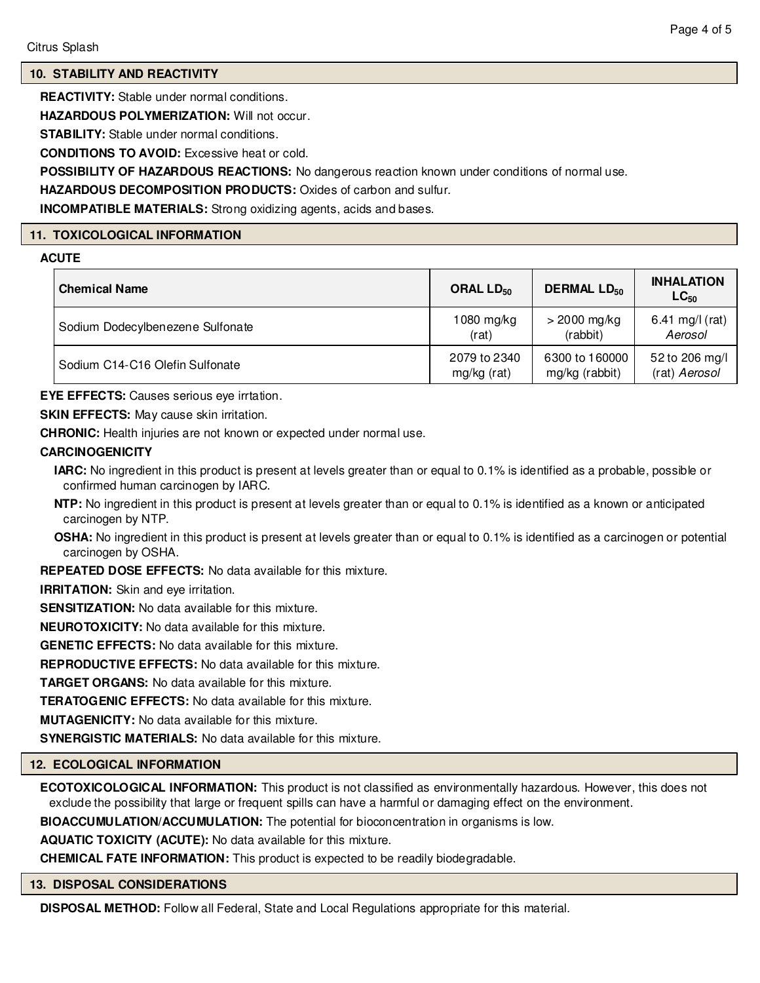#### **10. STABILITY AND REACTIVITY**

**REACTIVITY:** Stable under normal conditions.

**HAZARDOUS POLYMERIZATION:** Will not occur.

**STABILITY:** Stable under normal conditions.

**CONDITIONS TO AVOID:** Excessive heat or cold.

**POSSIBILITY OF HAZARDOUS REACTIONS:** No dangerous reaction known under conditions of normal use.

**HAZARDOUS DECOMPOSITION PRODUCTS:** Oxides of carbon and sulfur.

**INCOMPATIBLE MATERIALS:** Strong oxidizing agents, acids and bases.

#### **11. TOXICOLOGICAL INFORMATION**

#### **ACUTE**

| <b>Chemical Name</b>             | ORAL LD <sub>50</sub> | <b>DERMAL LD<sub>50</sub></b> | <b>INHALATION</b><br>$LC_{50}$ |
|----------------------------------|-----------------------|-------------------------------|--------------------------------|
| Sodium Dodecylbenezene Sulfonate | $1080$ mg/kg          | $>$ 2000 mg/kg                | 6.41 mg/l (rat)                |
|                                  | (rat)                 | (rabbit)                      | Aerosol                        |
| Sodium C14-C16 Olefin Sulfonate  | 2079 to 2340          | 6300 to 160000                | 52 to 206 mg/l                 |
|                                  | mg/kg (rat)           | mg/kg (rabbit)                | (rat) Aerosol                  |

**EYE EFFECTS:** Causes serious eye irrtation.

**SKIN EFFECTS:** May cause skin irritation.

**CHRONIC:** Health injuries are not known or expected under normal use.

#### **CARCINOGENICITY**

- **IARC:** No ingredient in this product is present at levels greater than or equal to 0.1% is identified as a probable, possible or confirmed human carcinogen by IARC.
- **NTP:** No ingredient in this product is present at levels greater than or equal to 0.1% is identified as a known or anticipated carcinogen by NTP.
- **OSHA:** No ingredient in this product is present at levels greater than or equal to 0.1% is identified as a carcinogen or potential carcinogen by OSHA.

**REPEATED DOSE EFFECTS:** No data available for this mixture.

**IRRITATION:** Skin and eve irritation.

**SENSITIZATION:** No data available for this mixture.

**NEUROTOXICITY:** No data available for this mixture.

**GENETIC EFFECTS:** No data available for this mixture.

**REPRODUCTIVE EFFECTS:** No data available for this mixture.

**TARGET ORGANS:** No data available for this mixture.

**TERATOGENIC EFFECTS:** No data available for this mixture.

**MUTAGENICITY:** No data available for this mixture.

**SYNERGISTIC MATERIALS:** No data available for this mixture.

### **12. ECOLOGICAL INFORMATION**

**ECOTOXICOLOGICAL INFORMATION:** This product is not classified as environmentally hazardous. However, this does not exclude the possibility that large or frequent spills can have a harmful or damaging effect on the environment.

**BIOACCUMULATION/ACCUMULATION:** The potential for bioconcentration in organisms is low.

**AQUATIC TOXICITY (ACUTE):** No data available for this mixture.

**CHEMICAL FATE INFORMATION:** This product is expected to be readily biodegradable.

#### **13. DISPOSAL CONSIDERATIONS**

**DISPOSAL METHOD:** Follow all Federal, State and Local Regulations appropriate for this material.